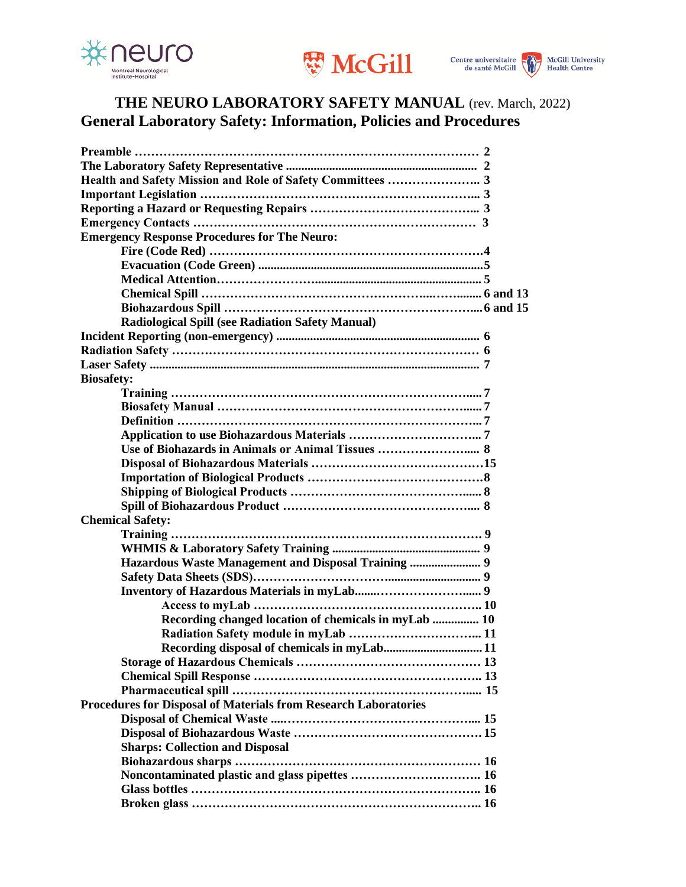





# **THE NEURO LABORATORY SAFETY MANUAL** (rev. March, 2022) **General Laboratory Safety: Information, Policies and Procedures**

| <b>Emergency Response Procedures for The Neuro:</b>             |  |
|-----------------------------------------------------------------|--|
|                                                                 |  |
|                                                                 |  |
|                                                                 |  |
|                                                                 |  |
|                                                                 |  |
| <b>Radiological Spill (see Radiation Safety Manual)</b>         |  |
|                                                                 |  |
|                                                                 |  |
|                                                                 |  |
| <b>Biosafety:</b>                                               |  |
|                                                                 |  |
|                                                                 |  |
|                                                                 |  |
|                                                                 |  |
| Use of Biohazards in Animals or Animal Tissues  8               |  |
|                                                                 |  |
|                                                                 |  |
|                                                                 |  |
|                                                                 |  |
| <b>Chemical Safety:</b>                                         |  |
|                                                                 |  |
|                                                                 |  |
|                                                                 |  |
|                                                                 |  |
|                                                                 |  |
|                                                                 |  |
| Recording changed location of chemicals in myLab  10            |  |
|                                                                 |  |
| Recording disposal of chemicals in myLab 11                     |  |
|                                                                 |  |
|                                                                 |  |
|                                                                 |  |
| Procedures for Disposal of Materials from Research Laboratories |  |
|                                                                 |  |
|                                                                 |  |
| <b>Sharps: Collection and Disposal</b>                          |  |
|                                                                 |  |
|                                                                 |  |
|                                                                 |  |
|                                                                 |  |
|                                                                 |  |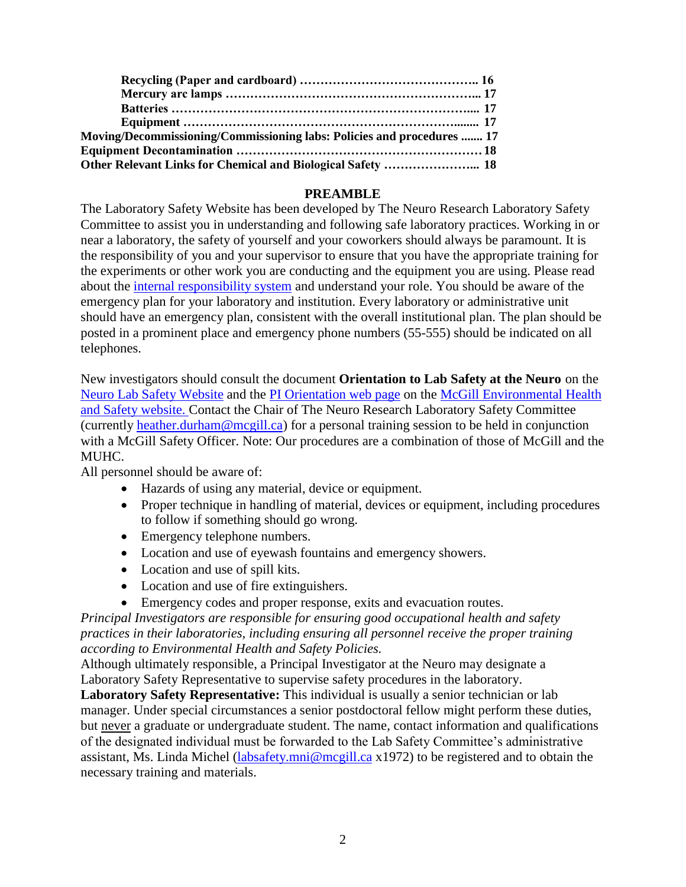| Moving/Decommissioning/Commissioning labs: Policies and procedures  17 |  |
|------------------------------------------------------------------------|--|
|                                                                        |  |
| Other Relevant Links for Chemical and Biological Safety  18            |  |

#### **PREAMBLE**

The Laboratory Safety Website has been developed by The Neuro Research Laboratory Safety Committee to assist you in understanding and following safe laboratory practices. Working in or near a laboratory, the safety of yourself and your coworkers should always be paramount. It is the responsibility of you and your supervisor to ensure that you have the appropriate training for the experiments or other work you are conducting and the equipment you are using. Please read about the [internal responsibility system](http://www.mcgill.ca/ehs/policies-and-safety-committees/internal-responsibility-system) and understand your role. You should be aware of the emergency plan for your laboratory and institution. Every laboratory or administrative unit should have an emergency plan, consistent with the overall institutional plan. The plan should be posted in a prominent place and emergency phone numbers (55-555) should be indicated on all telephones.

New investigators should consult the document **Orientation to Lab Safety at the Neuro** on the [Neuro Lab Safety Website](https://www.mcgill.ca/neuro/research/lab-safety) and the [PI Orientation web page](http://www.mcgill.ca/ehs/programs-and-services/newpi) on the [McGill Environmental Health](http://www.mcgill.ca/ehs/)  [and Safety website.](http://www.mcgill.ca/ehs/) Contact the Chair of The Neuro Research Laboratory Safety Committee (currently [heather.durham@mcgill.ca\)](mailto:heather.durham@mcgill.ca) for a personal training session to be held in conjunction with a McGill Safety Officer. Note: Our procedures are a combination of those of McGill and the MUHC.

All personnel should be aware of:

- Hazards of using any material, device or equipment.
- Proper technique in handling of material, devices or equipment, including procedures to follow if something should go wrong.
- Emergency telephone numbers.
- Location and use of eyewash fountains and emergency showers.
- Location and use of spill kits.
- Location and use of fire extinguishers.
- Emergency codes and proper response, exits and evacuation routes.

*Principal Investigators are responsible for ensuring good occupational health and safety practices in their laboratories, including ensuring all personnel receive the proper training according to Environmental Health and Safety Policies.* 

Although ultimately responsible, a Principal Investigator at the Neuro may designate a Laboratory Safety Representative to supervise safety procedures in the laboratory.

**Laboratory Safety Representative:** This individual is usually a senior technician or lab manager. Under special circumstances a senior postdoctoral fellow might perform these duties, but never a graduate or undergraduate student. The name, contact information and qualifications of the designated individual must be forwarded to the Lab Safety Committee's administrative assistant, Ms. Linda Michel [\(labsafety.mni@mcgill.ca](mailto:labsafety.mni@mcgill.ca) x1972) to be registered and to obtain the necessary training and materials.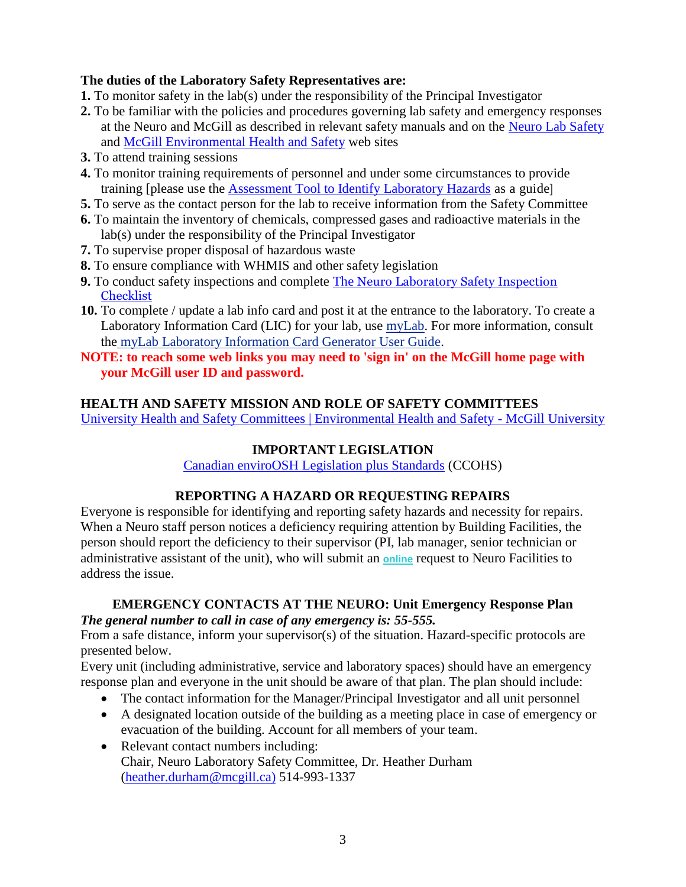### **The duties of the Laboratory Safety Representatives are:**

- **1.** To monitor safety in the lab(s) under the responsibility of the Principal Investigator
- **2.** To be familiar with the policies and procedures governing lab safety and emergency responses at the Neuro and McGill as described in relevant safety manuals and on the Neuro [Lab Safety](http://www.mcgill.ca/neuro/research/research-services/lab-safety) and [McGill Environmental Health and Safety](http://www.mcgill.ca/ehs/) web sites
- **3.** To attend training sessions
- **4.** To monitor training requirements of personnel and under some circumstances to provide training [please use the [Assessment Tool to Identify Laboratory Hazards](https://www.mcgill.ca/neuro/files/neuro/assessment_tool_to_identify_laboratory_hazards.pdf) as a guide]
- **5.** To serve as the contact person for the lab to receive information from the Safety Committee
- **6.** To maintain the inventory of chemicals, compressed gases and radioactive materials in the lab(s) under the responsibility of the Principal Investigator
- **7.** To supervise proper disposal of hazardous waste
- **8.** To ensure compliance with WHMIS and other safety legislation
- **9.** To conduct safety inspections and complete The Neuro Laboratory Safety Inspection **[Checklist](https://www.mcgill.ca/neuro/files/neuro/assessment_tool_to_identify_laboratory_hazards.pdf)**
- **10.** To complete / update a lab info card and post it at the entrance to the laboratory. To create a Laboratory Information Card (LIC) for your lab, use [myLab.](http://mylab.mcgill.ca/) For more information, consult th[e](https://www.mcgill.ca/ehs/files/ehs/mylab_laboratory_information_card_generator_user_guide_0.pdf) [myLab Laboratory Information Card Generator User Guide.](https://www.mcgill.ca/ehs/files/ehs/mylab_laboratory_information_card_generator_user_guide_0.pdf)
- **NOTE: to reach some web links you may need to 'sign in' on the McGill home page with your McGill user ID and password.**

## **HEALTH AND SAFETY MISSION AND ROLE OF SAFETY COMMITTEES**

[University Health and Safety Committees | Environmental Health and Safety -](http://www.mcgill.ca/ehs/policies-and-safety-committees) McGill University

## **IMPORTANT LEGISLATION**

[Canadian enviroOSH Legislation plus Standards](http://www.ccohs.ca/) (CCOHS)

## **REPORTING A HAZARD OR REQUESTING REPAIRS**

Everyone is responsible for identifying and reporting safety hazards and necessity for repairs. When a Neuro staff person notices a deficiency requiring attention by Building Facilities, the person should report the deficiency to their supervisor (PI, lab manager, senior technician or administrative assistant of the unit), who will submit an **[online](https://app.smartsheet.com/b/form/ad51b1ded5c048c9b5b8ec5633fefe1a)** request to Neuro Facilities to address the issue.

### **EMERGENCY CONTACTS AT THE NEURO: Unit Emergency Response Plan** *The general number to call in case of any emergency is: 55-555.*

From a safe distance, inform your supervisor(s) of the situation. Hazard-specific protocols are presented below.

Every unit (including administrative, service and laboratory spaces) should have an emergency response plan and everyone in the unit should be aware of that plan. The plan should include:

- The contact information for the Manager/Principal Investigator and all unit personnel
- A designated location outside of the building as a meeting place in case of emergency or evacuation of the building. Account for all members of your team.
- Relevant contact numbers including: Chair, Neuro Laboratory Safety Committee, Dr. Heather Durham [\(heather.durham@mcgill.ca\)](mailto:heather.durham@mcgill.ca) 514-993-1337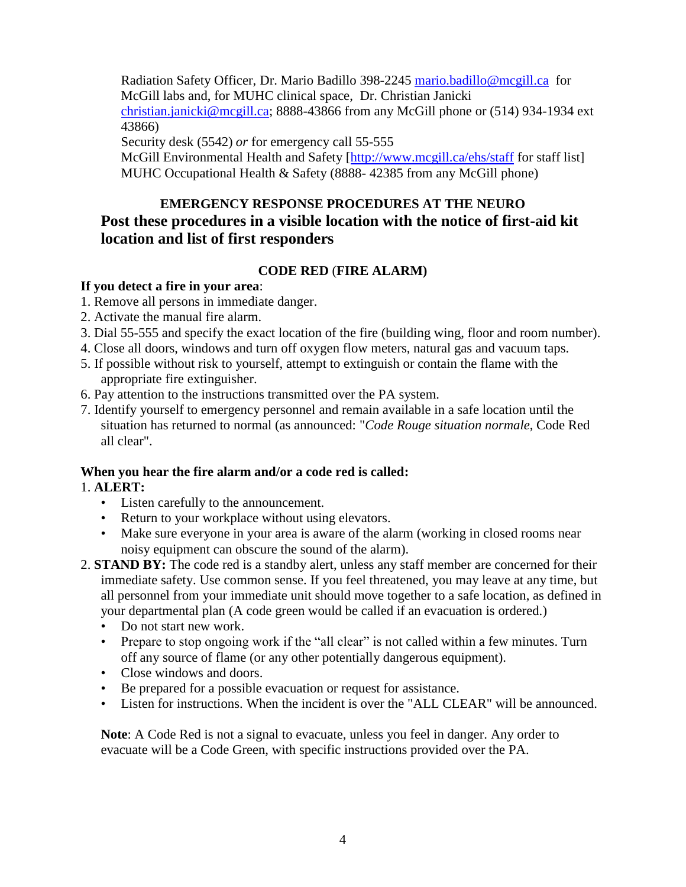Radiation Safety Officer, Dr. Mario Badillo 398-2245 [mario.badillo@mcgill.ca](mailto:mario.badillo@mcgill.ca) for McGill labs and, for MUHC clinical space, Dr. Christian Janicki [christian.janicki@mcgill.ca;](mailto:christian.janicki@mcgill.ca) 8888-43866 from any McGill phone or (514) 934-1934 ext 43866)

Security desk (5542) *or* for emergency call 55-555

McGill Environmental Health and Safety [\[http://www.mcgill.ca/ehs/staff](http://www.mcgill.ca/ehs/staff) for staff list] MUHC Occupational Health & Safety (8888- 42385 from any McGill phone)

# **EMERGENCY RESPONSE PROCEDURES AT THE NEURO Post these procedures in a visible location with the notice of first-aid kit location and list of first responders**

## **CODE RED** (**FIRE ALARM)**

## **If you detect a fire in your area**:

- 1. Remove all persons in immediate danger.
- 2. Activate the manual fire alarm.
- 3. Dial 55-555 and specify the exact location of the fire (building wing, floor and room number).
- 4. Close all doors, windows and turn off oxygen flow meters, natural gas and vacuum taps.
- 5. If possible without risk to yourself, attempt to extinguish or contain the flame with the appropriate fire extinguisher.
- 6. Pay attention to the instructions transmitted over the PA system.
- 7. Identify yourself to emergency personnel and remain available in a safe location until the situation has returned to normal (as announced: "*Code Rouge situation normale*, Code Red all clear".

## **When you hear the fire alarm and/or a code red is called:**

## 1. **ALERT:**

- Listen carefully to the announcement.
- Return to your workplace without using elevators.
- Make sure everyone in your area is aware of the alarm (working in closed rooms near noisy equipment can obscure the sound of the alarm).
- 2. **STAND BY:** The code red is a standby alert, unless any staff member are concerned for their immediate safety. Use common sense. If you feel threatened, you may leave at any time, but all personnel from your immediate unit should move together to a safe location, as defined in your departmental plan (A code green would be called if an evacuation is ordered.)
	- Do not start new work.
	- Prepare to stop ongoing work if the "all clear" is not called within a few minutes. Turn off any source of flame (or any other potentially dangerous equipment).
	- Close windows and doors.
	- Be prepared for a possible evacuation or request for assistance.
	- Listen for instructions. When the incident is over the "ALL CLEAR" will be announced.

**Note**: A Code Red is not a signal to evacuate, unless you feel in danger. Any order to evacuate will be a Code Green, with specific instructions provided over the PA.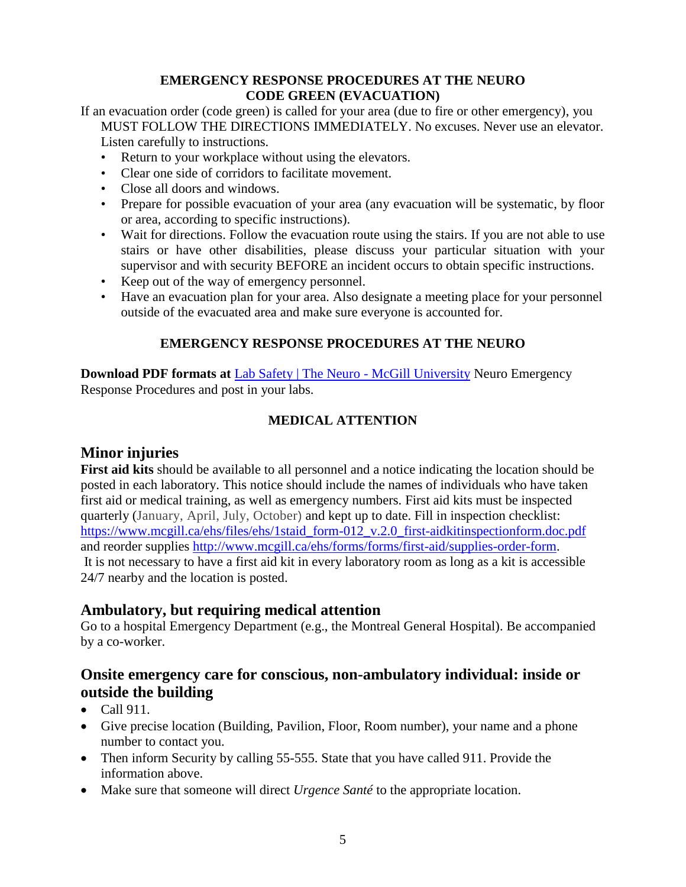### **EMERGENCY RESPONSE PROCEDURES AT THE NEURO CODE GREEN (EVACUATION)**

If an evacuation order (code green) is called for your area (due to fire or other emergency), you MUST FOLLOW THE DIRECTIONS IMMEDIATELY. No excuses. Never use an elevator. Listen carefully to instructions.

- Return to your workplace without using the elevators.
- Clear one side of corridors to facilitate movement.
- Close all doors and windows.
- Prepare for possible evacuation of your area (any evacuation will be systematic, by floor or area, according to specific instructions).
- Wait for directions. Follow the evacuation route using the stairs. If you are not able to use stairs or have other disabilities, please discuss your particular situation with your supervisor and with security BEFORE an incident occurs to obtain specific instructions.
- Keep out of the way of emergency personnel.
- Have an evacuation plan for your area. Also designate a meeting place for your personnel outside of the evacuated area and make sure everyone is accounted for.

## **EMERGENCY RESPONSE PROCEDURES AT THE NEURO**

**Download PDF formats at** [Lab Safety | The Neuro -](https://www.mcgill.ca/neuro/research/lab-safety) McGill University Neuro Emergency Response Procedures and post in your labs.

## **MEDICAL ATTENTION**

## **Minor injuries**

**First aid kits** should be available to all personnel and a notice indicating the location should be posted in each laboratory. This notice should include the names of individuals who have taken first aid or medical training, as well as emergency numbers. First aid kits must be inspected quarterly (January, April, July, October) and kept up to date. Fill in inspection checklist: [https://www.mcgill.ca/ehs/files/ehs/1staid\\_form-012\\_v.2.0\\_first-aidkitinspectionform.doc.pdf](https://www.mcgill.ca/ehs/files/ehs/1staid_form-012_v.2.0_first-aidkitinspectionform.doc.pdf) and reorder supplies [http://www.mcgill.ca/ehs/forms/forms/first-aid/supplies-order-form.](http://www.mcgill.ca/ehs/forms/forms/first-aid/supplies-order-form) It is not necessary to have a first aid kit in every laboratory room as long as a kit is accessible 24/7 nearby and the location is posted.

## **Ambulatory, but requiring medical attention**

Go to a hospital Emergency Department (e.g., the Montreal General Hospital). Be accompanied by a co-worker.

## **Onsite emergency care for conscious, non-ambulatory individual: inside or outside the building**

- $\bullet$  Call 911.
- Give precise location (Building, Pavilion, Floor, Room number), your name and a phone number to contact you.
- Then inform Security by calling 55-555. State that you have called 911. Provide the information above.
- Make sure that someone will direct *Urgence Santé* to the appropriate location.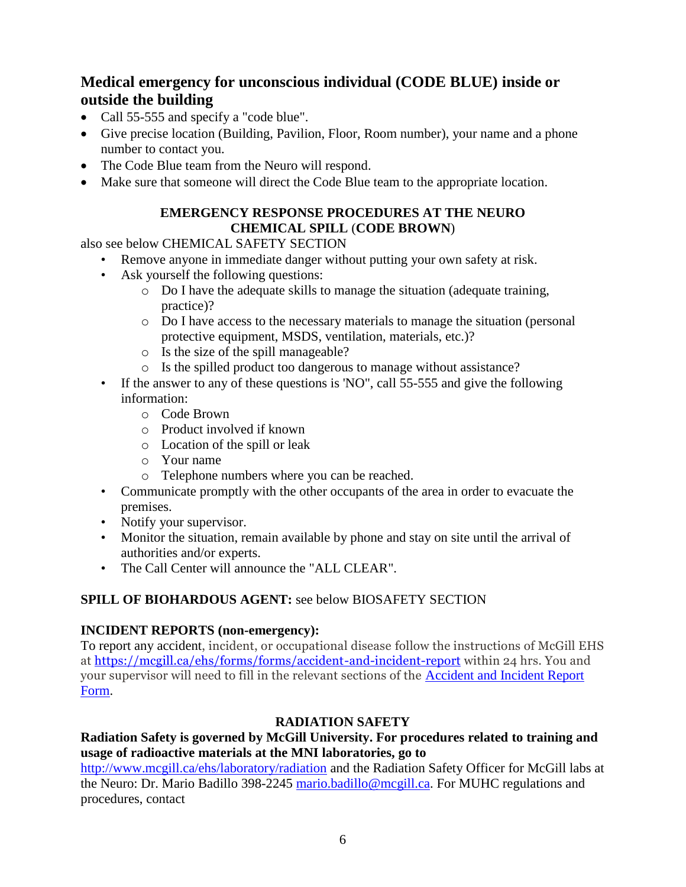# **Medical emergency for unconscious individual (CODE BLUE) inside or outside the building**

- Call 55-555 and specify a "code blue".
- Give precise location (Building, Pavilion, Floor, Room number), your name and a phone number to contact you.
- The Code Blue team from the Neuro will respond.
- Make sure that someone will direct the Code Blue team to the appropriate location.

## **EMERGENCY RESPONSE PROCEDURES AT THE NEURO CHEMICAL SPILL** (**CODE BROWN**)

also see below CHEMICAL SAFETY SECTION

- Remove anyone in immediate danger without putting your own safety at risk.
- Ask yourself the following questions:
	- o Do I have the adequate skills to manage the situation (adequate training, practice)?
	- o Do I have access to the necessary materials to manage the situation (personal protective equipment, MSDS, ventilation, materials, etc.)?
	- o Is the size of the spill manageable?
	- o Is the spilled product too dangerous to manage without assistance?
- If the answer to any of these questions is 'NO", call 55-555 and give the following information:
	- o Code Brown
	- o Product involved if known
	- o Location of the spill or leak
	- o Your name
	- o Telephone numbers where you can be reached.
- Communicate promptly with the other occupants of the area in order to evacuate the premises.
- Notify your supervisor.
- Monitor the situation, remain available by phone and stay on site until the arrival of authorities and/or experts.
- The Call Center will announce the "ALL CLEAR".

## **SPILL OF BIOHARDOUS AGENT:** see below BIOSAFETY SECTION

### **INCIDENT REPORTS (non-emergency):**

To report any accident, incident, or occupational disease follow the instructions of McGill EHS at<https://mcgill.ca/ehs/forms/forms/accident-and-incident-report> within 24 hrs. You and your supervisor will need to fill in the relevant sections of the [Accident and Incident Report](http://www.mcgill.ca/ehs/files/ehs/ehs-form-001_v.2.3_accident_and_incident_reporting_form.pdf)  [Form.](http://www.mcgill.ca/ehs/files/ehs/ehs-form-001_v.2.3_accident_and_incident_reporting_form.pdf)

### **RADIATION SAFETY**

### **Radiation Safety is governed by McGill University. For procedures related to training and usage of radioactive materials at the MNI laboratories, go to**

<http://www.mcgill.ca/ehs/laboratory/radiation> and the Radiation Safety Officer for McGill labs at the Neuro: Dr. Mario Badillo 398-2245 [mario.badillo@mcgill.ca.](mailto:mario.badillo@mcgill.ca) For MUHC regulations and procedures, contact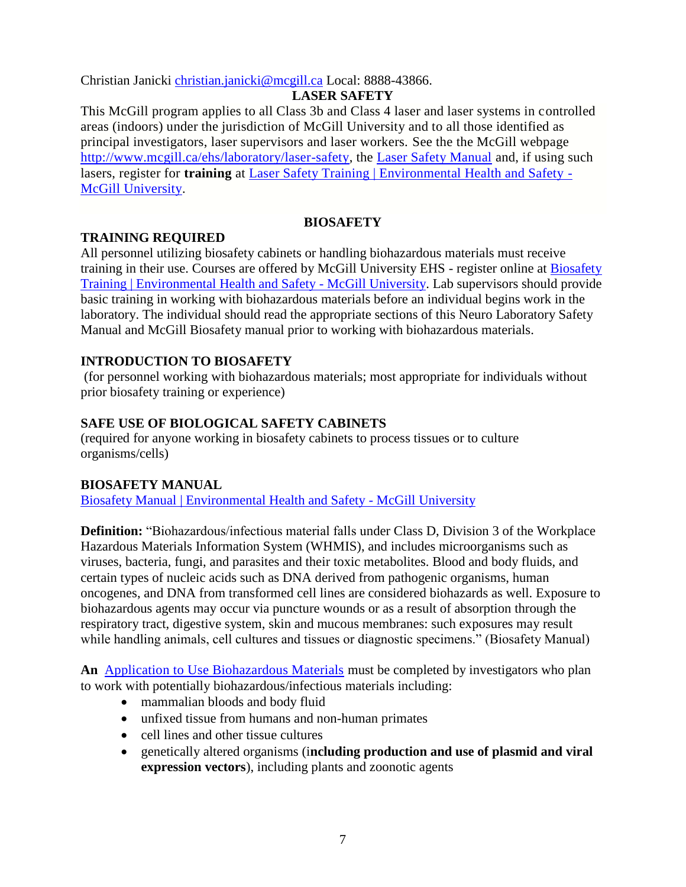Christian Janicki [christian.janicki@mcgill.ca](mailto:christian.janicki@mcgill.ca) Local: 8888-43866.

## **LASER SAFETY**

This McGill program applies to all Class 3b and Class 4 laser and laser systems in controlled areas (indoors) under the jurisdiction of McGill University and to all those identified as principal investigators, laser supervisors and laser workers. See the the McGill webpage [http://www.mcgill.ca/ehs/laboratory/laser-safety,](http://www.mcgill.ca/ehs/laboratory/laser-safety) the [Laser Safety Manual](http://www.mcgill.ca/ehs/laboratory/laser-safety/laser-safety-manual) and, if using such lasers, register for **training** at [Laser Safety Training | Environmental Health and Safety -](http://www.mcgill.ca/ehs/training/lasersafety) [McGill University.](http://www.mcgill.ca/ehs/training/lasersafety)

## **BIOSAFETY**

### **TRAINING REQUIRED**

All personnel utilizing biosafety cabinets or handling biohazardous materials must receive training in their use. Courses are offered by McGill University EHS - register online at [Biosafety](http://www.mcgill.ca/ehs/training/biosafety)  [Training | Environmental Health and Safety -](http://www.mcgill.ca/ehs/training/biosafety) McGill University. Lab supervisors should provide basic training in working with biohazardous materials before an individual begins work in the laboratory. The individual should read the appropriate sections of this Neuro Laboratory Safety Manual and McGill Biosafety manual prior to working with biohazardous materials.

## **INTRODUCTION TO BIOSAFETY**

(for personnel working with biohazardous materials; most appropriate for individuals without prior biosafety training or experience)

## **SAFE USE OF BIOLOGICAL SAFETY CABINETS**

(required for anyone working in biosafety cabinets to process tissues or to culture organisms/cells)

### **BIOSAFETY MANUAL**

[Biosafety Manual | Environmental Health and Safety -](https://www.mcgill.ca/ehs/files/ehs/biosafety_manual_ehs-bios-001_v1.2.pdf) McGill University

**Definition:** "Biohazardous/infectious material falls under Class D, Division 3 of the Workplace Hazardous Materials Information System (WHMIS), and includes microorganisms such as viruses, bacteria, fungi, and parasites and their toxic metabolites. Blood and body fluids, and certain types of nucleic acids such as DNA derived from pathogenic organisms, human oncogenes, and DNA from transformed cell lines are considered biohazards as well. Exposure to biohazardous agents may occur via puncture wounds or as a result of absorption through the respiratory tract, digestive system, skin and mucous membranes: such exposures may result while handling animals, cell cultures and tissues or diagnostic specimens." (Biosafety Manual)

**An** Application [to Use Biohazardous Materials](http://www.mcgill.ca/ehs/forms/forms/lab-safety/biohazards/) must be completed by investigators who plan to work with potentially biohazardous/infectious materials including:

- mammalian bloods and body fluid
- unfixed tissue from humans and non-human primates
- cell lines and other tissue cultures
- genetically altered organisms (i**ncluding production and use of plasmid and viral expression vectors**), including plants and zoonotic agents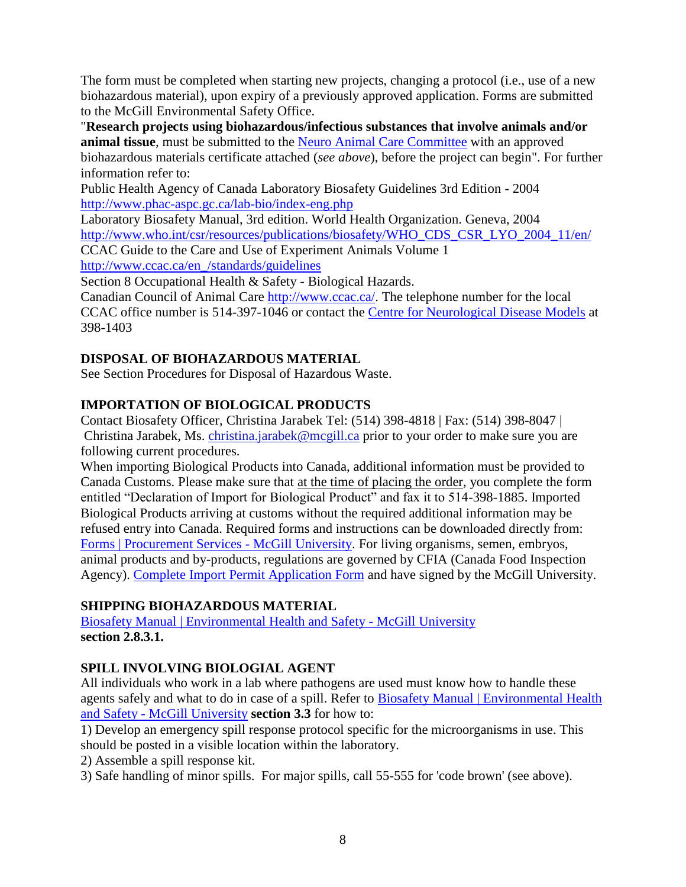The form must be completed when starting new projects, changing a protocol (i.e., use of a new biohazardous material), upon expiry of a previously approved application. Forms are submitted to the McGill Environmental Safety Office.

"**Research projects using biohazardous/infectious substances that involve animals and/or animal tissue**, must be submitted to the **Neuro [Animal Care Committee](https://www.mcgill.ca/neuro/research/animal-care-committee)** with an approved biohazardous materials certificate attached (*see above*), before the project can begin". For further information refer to:

Public Health Agency of Canada Laboratory Biosafety Guidelines 3rd Edition - 2004 <http://www.phac-aspc.gc.ca/lab-bio/index-eng.php>

Laboratory Biosafety Manual, 3rd edition. World Health Organization. Geneva, 2004 [http://www.who.int/csr/resources/publications/biosafety/WHO\\_CDS\\_CSR\\_LYO\\_2004\\_11/en/](http://www.who.int/csr/resources/publications/biosafety/WHO_CDS_CSR_LYO_2004_11/en/) CCAC Guide to the Care and Use of Experiment Animals Volume 1

[http://www.ccac.ca/en\\_/standards/guidelines](http://www.ccac.ca/en_/standards/guidelines)

Section 8 Occupational Health & Safety - Biological Hazards.

Canadian Council of Animal Care [http://www.ccac.ca/.](http://www.ccac.ca/) The telephone number for the local CCAC office number is 514-397-1046 or contact the [Centre for Neurological Disease Models](https://www.mcgill.ca/neuro/research/centre-neurological-disease-models-0/facilities) at 398-1403

## **DISPOSAL OF BIOHAZARDOUS MATERIAL**

See Section Procedures for Disposal of Hazardous Waste.

## **IMPORTATION OF BIOLOGICAL PRODUCTS**

Contact Biosafety Officer, Christina Jarabek Tel: (514) 398-4818 | Fax: (514) 398-8047 | Christina Jarabek, Ms. [christina.jarabek@mcgill.ca](mailto:christina.jarabek@mcgill.ca) prior to your order to make sure you are following current procedures.

When importing Biological Products into Canada, additional information must be provided to Canada Customs. Please make sure that at the time of placing the order, you complete the form entitled "Declaration of Import for Biological Product" and fax it to 514-398-1885. Imported Biological Products arriving at customs without the required additional information may be refused entry into Canada. Required forms and instructions can be downloaded directly from: [Forms | Procurement Services -](http://www.mcgill.ca/procurement/forms) McGill University. For living organisms, semen, embryos, animal products and by-products, regulations are governed by CFIA (Canada Food Inspection Agency). [Complete Import Permit Application Form](http://www.inspection.gc.ca/animals/terrestrial-animals/imports/permit-application/eng/1374511671189/1374511696513) and have signed by the McGill University.

## **SHIPPING BIOHAZARDOUS MATERIAL**

[Biosafety Manual | Environmental Health and Safety -](https://www.mcgill.ca/ehs/files/ehs/biosafety_manual_ehs-sman-001_v1.1.pdf) McGill University **section 2.8.3.1.**

## **SPILL INVOLVING BIOLOGIAL AGENT**

All individuals who work in a lab where pathogens are used must know how to handle these agents safely and what to do in case of a spill. Refer to [Biosafety Manual | Environmental Health](https://www.mcgill.ca/ehs/files/ehs/biosafety_manual_ehs-bios-001_v1.2.pdf)  and Safety - [McGill University](https://www.mcgill.ca/ehs/files/ehs/biosafety_manual_ehs-bios-001_v1.2.pdf) **section 3.3** for how to:

1) Develop an emergency spill response protocol specific for the microorganisms in use. This should be posted in a visible location within the laboratory.

2) Assemble a spill response kit.

3) Safe handling of minor spills. For major spills, call 55-555 for 'code brown' (see above).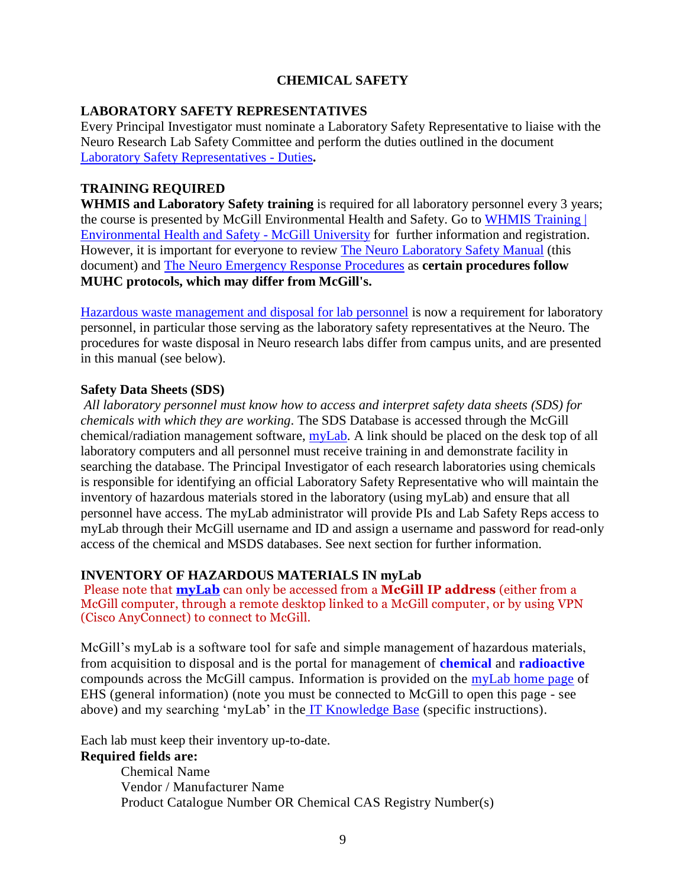## **CHEMICAL SAFETY**

#### **LABORATORY SAFETY REPRESENTATIVES**

Every Principal Investigator must nominate a Laboratory Safety Representative to liaise with the Neuro Research Lab Safety Committee and perform the duties outlined in the document [Laboratory Safety Representatives -](https://www.mcgill.ca/neuro/files/neuro/laboratory_safety_representatives_duties.pdf) Duties**.**

#### **TRAINING REQUIRED**

**WHMIS and Laboratory Safety training** is required for all laboratory personnel every 3 years; the course is presented by McGill Environmental Health and Safety. Go to [WHMIS Training |](http://www.mcgill.ca/ehs/training/whmis)  [Environmental Health and Safety -](http://www.mcgill.ca/ehs/training/whmis) McGill University for further information and registration. However, it is important for everyone to review [The Neuro Laboratory Safety Manual](https://www.mcgill.ca/neuro/research/lab-safety) (this document) and [The Neuro Emergency Response Procedures](http://www.mcgill.ca/neuro/research/research-services/lab-safety) as **certain procedures follow MUHC protocols, which may differ from McGill's.**

[Hazardous waste management and disposal for lab personnel](http://www.mcgill.ca/ehs/training/hazardwaste) is now a requirement for laboratory personnel, in particular those serving as the laboratory safety representatives at the Neuro. The procedures for waste disposal in Neuro research labs differ from campus units, and are presented in this manual (see below).

#### **Safety Data Sheets (SDS)**

*All laboratory personnel must know how to access and interpret safety data sheets (SDS) for chemicals with which they are working*. The SDS Database is accessed through the McGill chemical/radiation management software, [myLab.](http://www.mcgill.ca/ehs/mylab) A link should be placed on the desk top of all laboratory computers and all personnel must receive training in and demonstrate facility in searching the database. The Principal Investigator of each research laboratories using chemicals is responsible for identifying an official Laboratory Safety Representative who will maintain the inventory of hazardous materials stored in the laboratory (using myLab) and ensure that all personnel have access. The myLab administrator will provide PIs and Lab Safety Reps access to myLab through their McGill username and ID and assign a username and password for read-only access of the chemical and MSDS databases. See next section for further information.

#### **INVENTORY OF HAZARDOUS MATERIALS IN myLab**

Please note that **[myLab](https://mylab.mcgill.ca/)** can only be accessed from a **McGill IP address** (either from a McGill computer, through a remote desktop linked to a McGill computer, or by using VPN (Cisco AnyConnect) to connect to McGill.

McGill's myLab is a software tool for safe and simple management of hazardous materials, from acquisition to disposal and is the portal for management of **chemical** and **radioactive** compounds across the McGill campus. Information is provided on the [myLab home page](https://mylab.mcgill.ca/) of EHS (general information) (note you must be connected to McGill to open this page - see above) and my searching 'myLab' in the [IT Knowledge Base](http://kb.mcgill.ca/?portalid=2&articleid=1451) (specific instructions).

Each lab must keep their inventory up-to-date.

### **Required fields are:**

Chemical Name Vendor / Manufacturer Name Product Catalogue Number OR Chemical CAS Registry Number(s)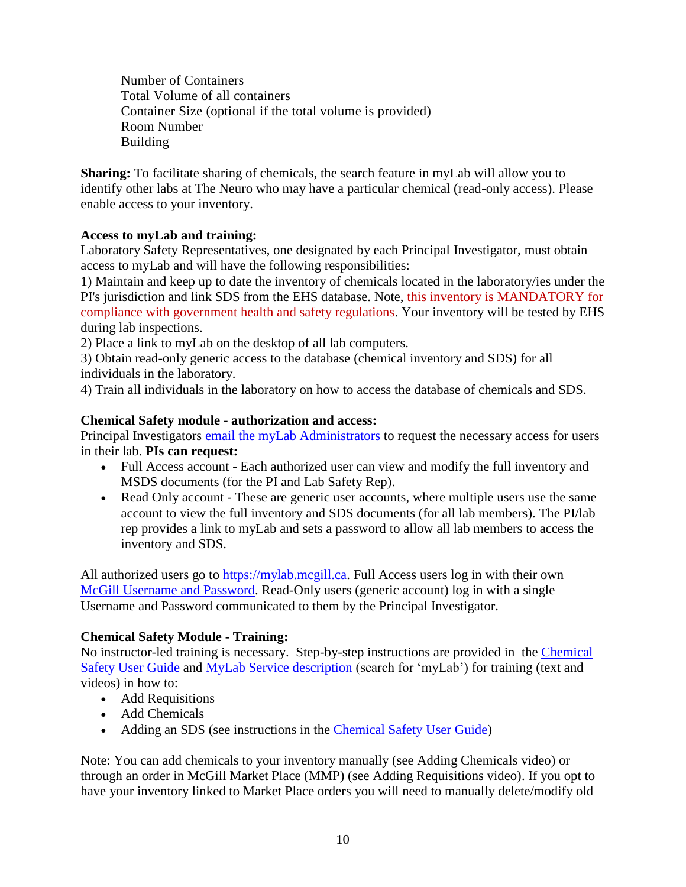Number of Containers Total Volume of all containers Container Size (optional if the total volume is provided) Room Number Building

**Sharing:** To facilitate sharing of chemicals, the search feature in myLab will allow you to identify other labs at The Neuro who may have a particular chemical (read-only access). Please enable access to your inventory.

## **Access to myLab and training:**

Laboratory Safety Representatives, one designated by each Principal Investigator, must obtain access to myLab and will have the following responsibilities:

1) Maintain and keep up to date the inventory of chemicals located in the laboratory/ies under the PI's jurisdiction and link SDS from the EHS database. Note, this inventory is MANDATORY for compliance with government health and safety regulations. Your inventory will be tested by EHS during lab inspections.

2) Place a link to myLab on the desktop of all lab computers.

3) Obtain read-only generic access to the database (chemical inventory and SDS) for all individuals in the laboratory.

4) Train all individuals in the laboratory on how to access the database of chemicals and SDS.

### **Chemical Safety module - authorization and access:**

Principal Investigators [email the myLab Administrators](http://webforms.mcgill.ca/ehs/contactmylab.asp?article=1451) to request the necessary access for users in their lab. **PIs can request:**

- Full Access account Each authorized user can view and modify the full inventory and MSDS documents (for the PI and Lab Safety Rep).
- Read Only account These are generic user accounts, where multiple users use the same account to view the full inventory and SDS documents (for all lab members). The PI/lab rep provides a link to myLab and sets a password to allow all lab members to access the inventory and SDS.

All authorized users go to [https://mylab.mcgill.ca.](https://mylab.mcgill.ca/) Full Access users log in with their own [McGill Username and Password.](javascript:%20$KB.open(%7b%22ArticleId%22:%221006%22%7d);) Read-Only users (generic account) log in with a single Username and Password communicated to them by the Principal Investigator.

## **Chemical Safety Module - Training:**

No instructor-led training is necessary. Step-by-step instructions are provided in the [Chemical](http://knowledgebase.mcgill.ca/media/pdf/myMcGill-Minerva/myLab_Chemical_Users_Guide.pdf)  [Safety User Guide](http://knowledgebase.mcgill.ca/media/pdf/myMcGill-Minerva/myLab_Chemical_Users_Guide.pdf) and [MyLab Service description](http://kb.mcgill.ca/kb/?ArticleId=1451&source=Article&c=12&cid=2#tab:homeTab:crumb:8:artId:1451:src:article) (search for 'myLab') for training (text and videos) in how to:

- Add Requisitions
- Add Chemicals
- Adding an SDS (see instructions in the [Chemical Safety User Guide\)](http://knowledgebase.mcgill.ca/media/pdf/myMcGill-Minerva/myLab_Chemical_Users_Guide.pdf)

Note: You can add chemicals to your inventory manually (see Adding Chemicals video) or through an order in McGill Market Place (MMP) (see Adding Requisitions video). If you opt to have your inventory linked to Market Place orders you will need to manually delete/modify old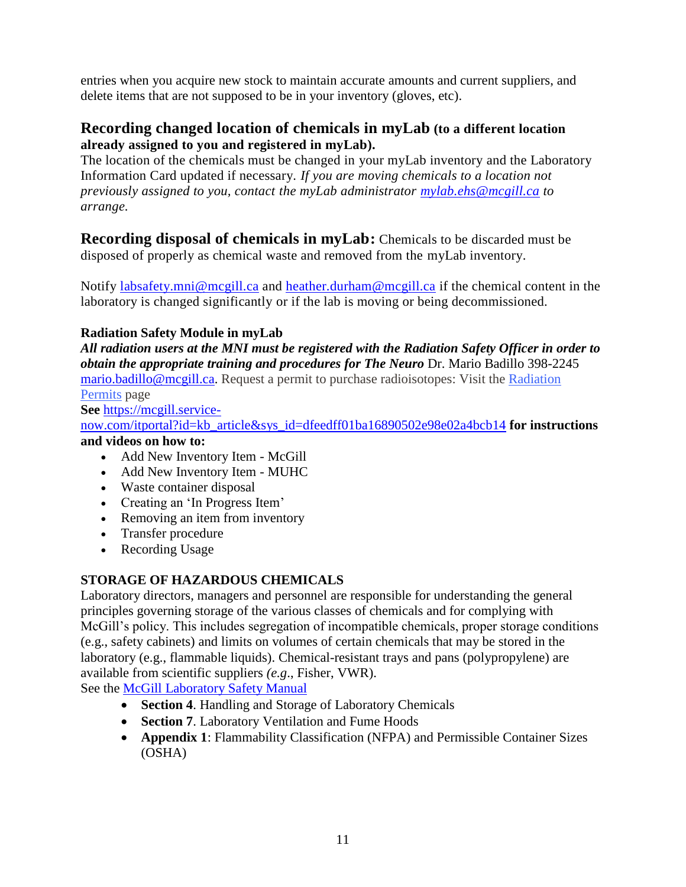entries when you acquire new stock to maintain accurate amounts and current suppliers, and delete items that are not supposed to be in your inventory (gloves, etc).

## **Recording changed location of chemicals in myLab (to a different location already assigned to you and registered in myLab).**

The location of the chemicals must be changed in your myLab inventory and the Laboratory Information Card updated if necessary. *If you are moving chemicals to a location not previously assigned to you, contact the myLab administrator [mylab.ehs@mcgill.ca](mailto:mylab.ehs@mcgill.ca) to arrange.* 

**Recording disposal of chemicals in myLab:** Chemicals to be discarded must be disposed of properly as chemical waste and removed from the myLab inventory.

Notify [labsafety.mni@mcgill.ca](mailto:labsafety.mni@mcgill.ca) and [heather.durham@mcgill.ca](mailto:heather.durham@mcgill.ca) if the chemical content in the laboratory is changed significantly or if the lab is moving or being decommissioned.

## **Radiation Safety Module in myLab**

*All radiation users at the MNI must be registered with the Radiation Safety Officer in order to obtain the appropriate training and procedures for The Neuro* Dr. Mario Badillo 398-2245 [mario.badillo@mcgill.ca.](mailto:mario.badillo@mcgill.ca) Request a permit to purchase radioisotopes: Visit the [Radiation](http://www.mcgill.ca/ehs/laboratory/radiation/permits/)  [Permits](http://www.mcgill.ca/ehs/laboratory/radiation/permits/) page

**See** [https://mcgill.service-](https://mcgill.service-now.com/itportal?id=kb_article&sys_id=dfeedff01ba16890502e98e02a4bcb14)

[now.com/itportal?id=kb\\_article&sys\\_id=dfeedff01ba16890502e98e02a4bcb14](https://mcgill.service-now.com/itportal?id=kb_article&sys_id=dfeedff01ba16890502e98e02a4bcb14) **for instructions and videos on how to:** 

- Add New Inventory Item McGill
- Add New Inventory Item MUHC
- Waste container disposal
- Creating an 'In Progress Item'
- Removing an item from inventory
- Transfer procedure
- Recording Usage

## **STORAGE OF HAZARDOUS CHEMICALS**

Laboratory directors, managers and personnel are responsible for understanding the general principles governing storage of the various classes of chemicals and for complying with McGill's policy. This includes segregation of incompatible chemicals, proper storage conditions (e.g., safety cabinets) and limits on volumes of certain chemicals that may be stored in the laboratory (e.g., flammable liquids). Chemical-resistant trays and pans (polypropylene) are available from scientific suppliers *(e.g*., Fisher, VWR).

See the [McGill Laboratory Safety Manual](http://www.mcgill.ca/ehs/laboratory/lab-safety-manual)

- **Section 4.** Handling and Storage of Laboratory Chemicals
- **Section 7**. Laboratory Ventilation and Fume Hoods
- **Appendix 1**: Flammability Classification (NFPA) and Permissible Container Sizes (OSHA)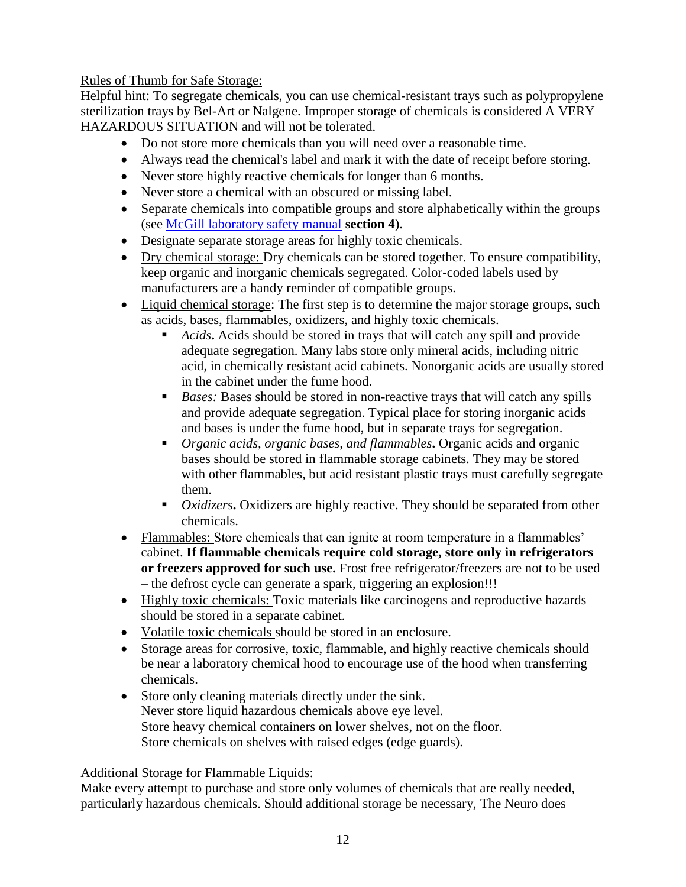## Rules of Thumb for Safe Storage:

Helpful hint: To segregate chemicals, you can use chemical-resistant trays such as polypropylene sterilization trays by Bel-Art or Nalgene. Improper storage of chemicals is considered A VERY HAZARDOUS SITUATION and will not be tolerated.

- Do not store more chemicals than you will need over a reasonable time.
- Always read the chemical's label and mark it with the date of receipt before storing.
- Never store highly reactive chemicals for longer than 6 months.
- Never store a chemical with an obscured or missing label.
- Separate chemicals into compatible groups and store alphabetically within the groups (see [McGill laboratory safety manual](http://www.mcgill.ca/ehs/laboratory/labsafety) **section 4**).
- Designate separate storage areas for highly toxic chemicals.
- Dry chemical storage: Dry chemicals can be stored together. To ensure compatibility, keep organic and inorganic chemicals segregated. Color-coded labels used by manufacturers are a handy reminder of compatible groups.
- Liquid chemical storage: The first step is to determine the major storage groups, such as acids, bases, flammables, oxidizers, and highly toxic chemicals.
	- *Acids***.** Acids should be stored in trays that will catch any spill and provide adequate segregation. Many labs store only mineral acids, including nitric acid, in chemically resistant acid cabinets. Nonorganic acids are usually stored in the cabinet under the fume hood.
	- **Bases:** Bases should be stored in non-reactive trays that will catch any spills and provide adequate segregation. Typical place for storing inorganic acids and bases is under the fume hood, but in separate trays for segregation.
	- *Organic acids, organic bases, and flammables***.** Organic acids and organic bases should be stored in flammable storage cabinets. They may be stored with other flammables, but acid resistant plastic trays must carefully segregate them.
	- *Oxidizers***.** Oxidizers are highly reactive. They should be separated from other chemicals.
- Flammables: Store chemicals that can ignite at room temperature in a flammables' cabinet. **If flammable chemicals require cold storage, store only in refrigerators or freezers approved for such use.** Frost free refrigerator/freezers are not to be used – the defrost cycle can generate a spark, triggering an explosion!!!
- Highly toxic chemicals: Toxic materials like carcinogens and reproductive hazards should be stored in a separate cabinet.
- Volatile toxic chemicals should be stored in an enclosure.
- Storage areas for corrosive, toxic, flammable, and highly reactive chemicals should be near a laboratory chemical hood to encourage use of the hood when transferring chemicals.
- Store only cleaning materials directly under the sink. Never store liquid hazardous chemicals above eye level. Store heavy chemical containers on lower shelves, not on the floor. Store chemicals on shelves with raised edges (edge guards).

### Additional Storage for Flammable Liquids:

Make every attempt to purchase and store only volumes of chemicals that are really needed, particularly hazardous chemicals. Should additional storage be necessary, The Neuro does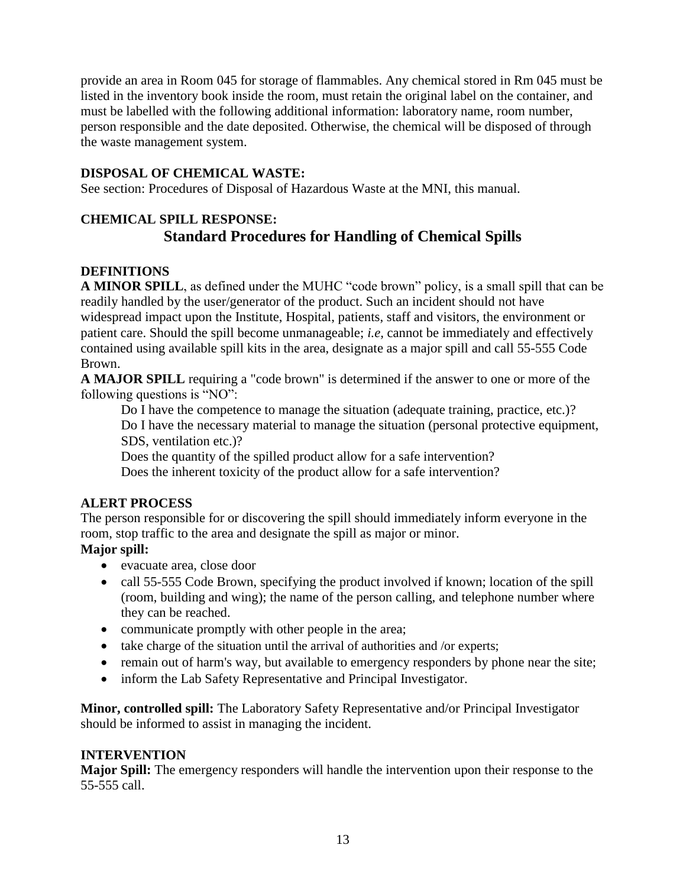provide an area in Room 045 for storage of flammables. Any chemical stored in Rm 045 must be listed in the inventory book inside the room, must retain the original label on the container, and must be labelled with the following additional information: laboratory name, room number, person responsible and the date deposited. Otherwise, the chemical will be disposed of through the waste management system.

## **DISPOSAL OF CHEMICAL WASTE:**

See section: Procedures of Disposal of Hazardous Waste at the MNI, this manual.

# **CHEMICAL SPILL RESPONSE: Standard Procedures for Handling of Chemical Spills**

### **DEFINITIONS**

**A MINOR SPILL**, as defined under the MUHC "code brown" policy, is a small spill that can be readily handled by the user/generator of the product. Such an incident should not have widespread impact upon the Institute, Hospital, patients, staff and visitors, the environment or patient care. Should the spill become unmanageable; *i.e,* cannot be immediately and effectively contained using available spill kits in the area, designate as a major spill and call 55-555 Code Brown.

**A MAJOR SPILL** requiring a "code brown" is determined if the answer to one or more of the following questions is "NO":

Do I have the competence to manage the situation (adequate training, practice, etc.)? Do I have the necessary material to manage the situation (personal protective equipment, SDS, ventilation etc.)?

Does the quantity of the spilled product allow for a safe intervention? Does the inherent toxicity of the product allow for a safe intervention?

### **ALERT PROCESS**

The person responsible for or discovering the spill should immediately inform everyone in the room, stop traffic to the area and designate the spill as major or minor.

## **Major spill:**

- evacuate area, close door
- call 55-555 Code Brown, specifying the product involved if known; location of the spill (room, building and wing); the name of the person calling, and telephone number where they can be reached.
- communicate promptly with other people in the area;
- take charge of the situation until the arrival of authorities and /or experts;
- remain out of harm's way, but available to emergency responders by phone near the site;
- inform the Lab Safety Representative and Principal Investigator.

**Minor, controlled spill:** The Laboratory Safety Representative and/or Principal Investigator should be informed to assist in managing the incident.

### **INTERVENTION**

**Major Spill:** The emergency responders will handle the intervention upon their response to the 55-555 call.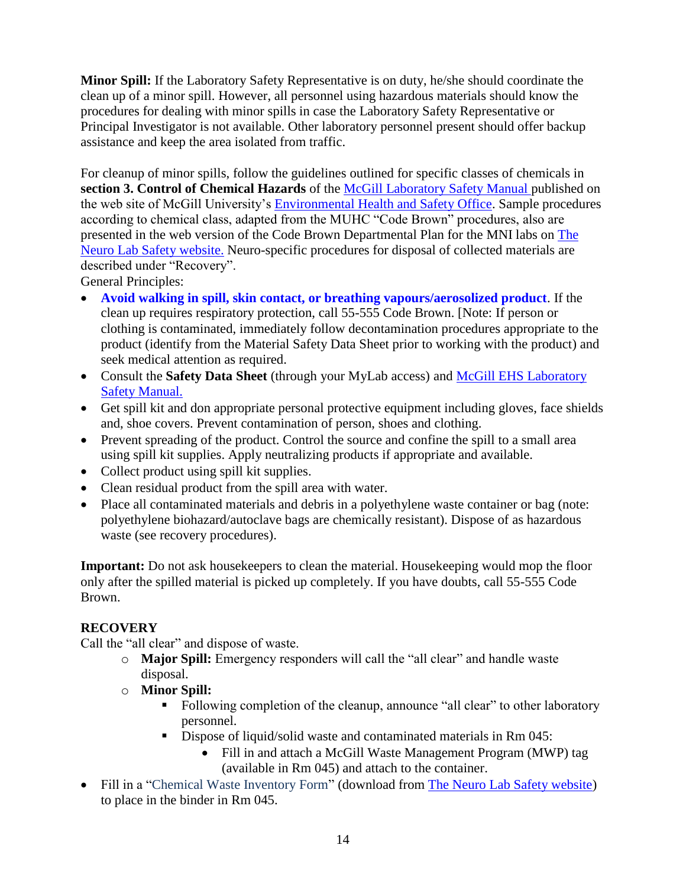**Minor Spill:** If the Laboratory Safety Representative is on duty, he/she should coordinate the clean up of a minor spill. However, all personnel using hazardous materials should know the procedures for dealing with minor spills in case the Laboratory Safety Representative or Principal Investigator is not available. Other laboratory personnel present should offer backup assistance and keep the area isolated from traffic.

For cleanup of minor spills, follow the guidelines outlined for specific classes of chemicals in **section 3. Control of Chemical Hazards** of the [McGill Laboratory Safety Manual](http://www.mcgill.ca/ehs/laboratory/lab-safety-manual) published on the web site of McGill University's [Environmental Health and Safety Office.](http://www.mcgill.ca/ehs/) Sample procedures according to chemical class, adapted from the MUHC "Code Brown" procedures, also are presented in the web version of the Code Brown Departmental Plan for the MNI labs on [The](http://www.mcgill.ca/neuro/research/research-services/lab-safety)  [Neuro Lab Safety website.](http://www.mcgill.ca/neuro/research/research-services/lab-safety) Neuro-specific procedures for disposal of collected materials are described under "Recovery".

General Principles:

- **Avoid walking in spill, skin contact, or breathing vapours/aerosolized product**. If the clean up requires respiratory protection, call 55-555 Code Brown. [Note: If person or clothing is contaminated, immediately follow decontamination procedures appropriate to the product (identify from the Material Safety Data Sheet prior to working with the product) and seek medical attention as required.
- Consult the **[Safety Data Sheet](http://apps.mni.mcgill.ca/icrcl/msdsdata/)** (through your MyLab access) and [McGill EHS Laboratory](http://www.mcgill.ca/ehs/laboratory/lab-safety-manual)  [Safety Manual.](http://www.mcgill.ca/ehs/laboratory/lab-safety-manual)
- Get spill kit and don appropriate personal protective equipment including gloves, face shields and, shoe covers. Prevent contamination of person, shoes and clothing.
- Prevent spreading of the product. Control the source and confine the spill to a small area using spill kit supplies. Apply neutralizing products if appropriate and available.
- Collect product using spill kit supplies.
- Clean residual product from the spill area with water.
- Place all contaminated materials and debris in a polyethylene waste container or bag (note: polyethylene biohazard/autoclave bags are chemically resistant). Dispose of as hazardous waste (see recovery procedures).

**Important:** Do not ask housekeepers to clean the material. Housekeeping would mop the floor only after the spilled material is picked up completely. If you have doubts, call 55-555 Code Brown.

## **RECOVERY**

Call the "all clear" and dispose of waste.

- o **Major Spill:** Emergency responders will call the "all clear" and handle waste disposal.
- o **Minor Spill:** 
	- Following completion of the cleanup, announce "all clear" to other laboratory personnel.
	- Dispose of liquid/solid waste and contaminated materials in Rm 045:
		- Fill in and attach a McGill Waste Management Program (MWP) tag (available in Rm 045) and attach to the container.
- Fill in a "Chemical Waste Inventory Form" (download from The Neuro [Lab Safety website\)](http://www.mcgill.ca/neuro/research/research-services/lab-safety) to place in the binder in Rm 045.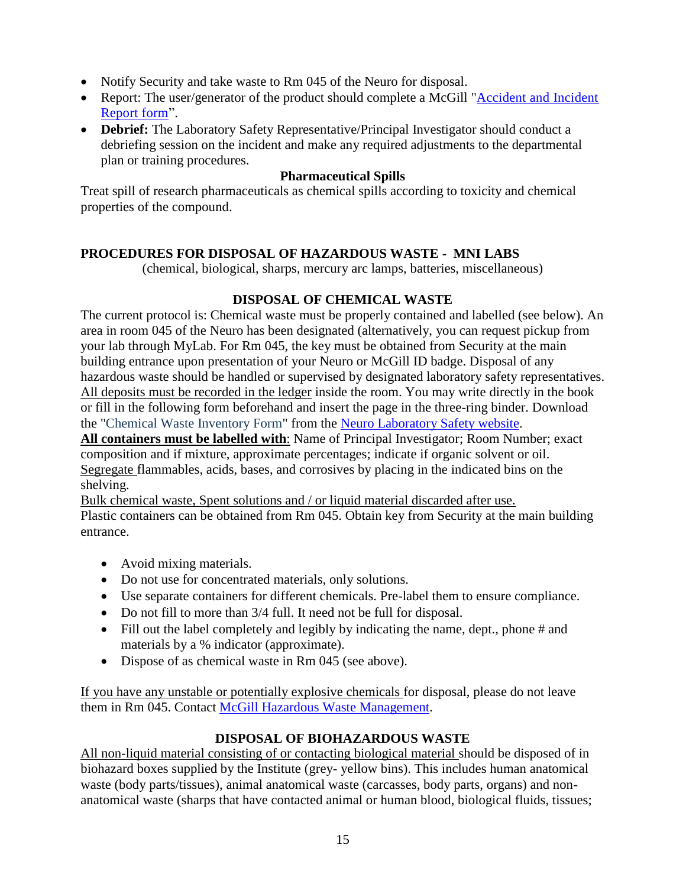- Notify Security and take waste to Rm 045 of the Neuro for disposal.
- Report: The user/generator of the product should complete a McGill "Accident and Incident [Report form"](http://www.mcgill.ca/ehs/forms/forms/accident-and-incident-report).
- **Debrief:** The Laboratory Safety Representative/Principal Investigator should conduct a debriefing session on the incident and make any required adjustments to the departmental plan or training procedures.

### **Pharmaceutical Spills**

Treat spill of research pharmaceuticals as chemical spills according to toxicity and chemical properties of the compound.

## **PROCEDURES FOR DISPOSAL OF HAZARDOUS WASTE - MNI LABS**

(chemical, biological, sharps, mercury arc lamps, batteries, miscellaneous)

### **DISPOSAL OF CHEMICAL WASTE**

The current protocol is: Chemical waste must be properly contained and labelled (see below). An area in room 045 of the Neuro has been designated (alternatively, you can request pickup from your lab through MyLab. For Rm 045, the key must be obtained from Security at the main building entrance upon presentation of your Neuro or McGill ID badge. Disposal of any hazardous waste should be handled or supervised by designated laboratory safety representatives. All deposits must be recorded in the ledger inside the room. You may write directly in the book or fill in the following form beforehand and insert the page in the three-ring binder. Download the "Chemical Waste Inventory Form" from the Neuro Laboratory [Safety website.](http://www.mcgill.ca/neuro/research/research-services/lab-safety)

**All containers must be labelled with**: Name of Principal Investigator; Room Number; exact composition and if mixture, approximate percentages; indicate if organic solvent or oil. Segregate flammables, acids, bases, and corrosives by placing in the indicated bins on the shelving.

Bulk chemical waste, Spent solutions and / or liquid material discarded after use. Plastic containers can be obtained from Rm 045. Obtain key from Security at the main building entrance.

- Avoid mixing materials.
- Do not use for concentrated materials, only solutions.
- Use separate containers for different chemicals. Pre-label them to ensure compliance.
- Do not fill to more than  $3/4$  full. It need not be full for disposal.
- Fill out the label completely and legibly by indicating the name, dept., phone # and materials by a % indicator (approximate).
- Dispose of as chemical waste in Rm 045 (see above).

If you have any unstable or potentially explosive chemicals for disposal, please do not leave them in Rm 045. Contact [McGill Hazardous Waste Management.](https://www.mcgill.ca/hwm/department)

### **DISPOSAL OF BIOHAZARDOUS WASTE**

All non-liquid material consisting of or contacting biological material should be disposed of in biohazard boxes supplied by the Institute (grey- yellow bins). This includes human anatomical waste (body parts/tissues), animal anatomical waste (carcasses, body parts, organs) and nonanatomical waste (sharps that have contacted animal or human blood, biological fluids, tissues;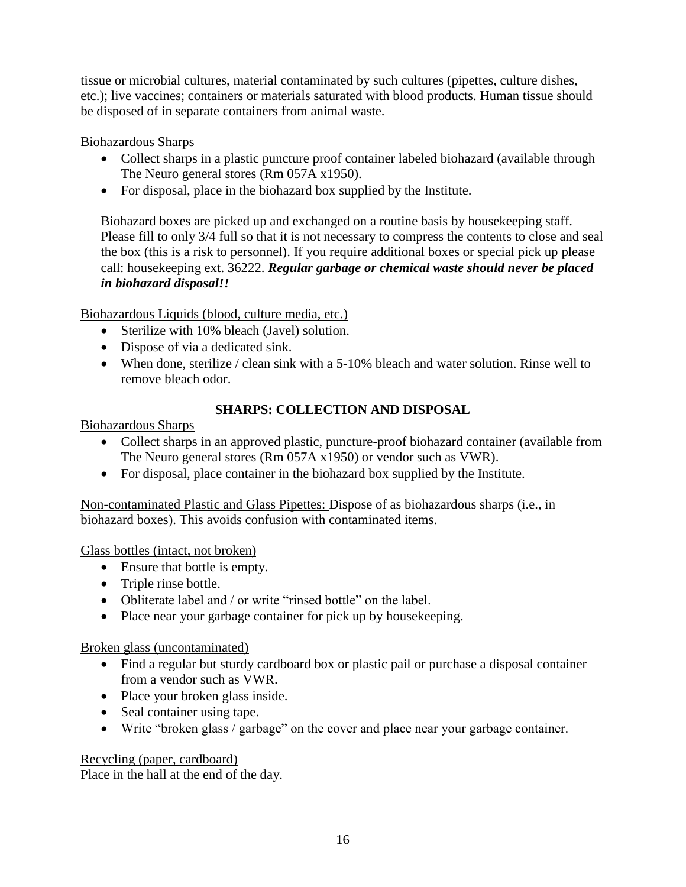tissue or microbial cultures, material contaminated by such cultures (pipettes, culture dishes, etc.); live vaccines; containers or materials saturated with blood products. Human tissue should be disposed of in separate containers from animal waste.

Biohazardous Sharps

- Collect sharps in a plastic puncture proof container labeled biohazard (available through The Neuro general stores (Rm 057A x1950).
- For disposal, place in the biohazard box supplied by the Institute.

Biohazard boxes are picked up and exchanged on a routine basis by housekeeping staff. Please fill to only 3/4 full so that it is not necessary to compress the contents to close and seal the box (this is a risk to personnel). If you require additional boxes or special pick up please call: housekeeping ext. 36222. *Regular garbage or chemical waste should never be placed in biohazard disposal!!* 

Biohazardous Liquids (blood, culture media, etc.)

- Sterilize with 10% bleach (Javel) solution.
- Dispose of via a dedicated sink.
- When done, sterilize / clean sink with a 5-10% bleach and water solution. Rinse well to remove bleach odor.

## **SHARPS: COLLECTION AND DISPOSAL**

Biohazardous Sharps

- Collect sharps in an approved plastic, puncture-proof biohazard container (available from The Neuro general stores (Rm 057A x1950) or vendor such as VWR).
- For disposal, place container in the biohazard box supplied by the Institute.

Non-contaminated Plastic and Glass Pipettes: Dispose of as biohazardous sharps (i.e., in biohazard boxes). This avoids confusion with contaminated items.

Glass bottles (intact, not broken)

- Ensure that bottle is empty.
- Triple rinse bottle.
- Obliterate label and / or write "rinsed bottle" on the label.
- Place near your garbage container for pick up by housekeeping.

Broken glass (uncontaminated)

- Find a regular but sturdy cardboard box or plastic pail or purchase a disposal container from a vendor such as VWR.
- Place your broken glass inside.
- Seal container using tape.
- Write "broken glass / garbage" on the cover and place near your garbage container.

### Recycling (paper, cardboard)

Place in the hall at the end of the day.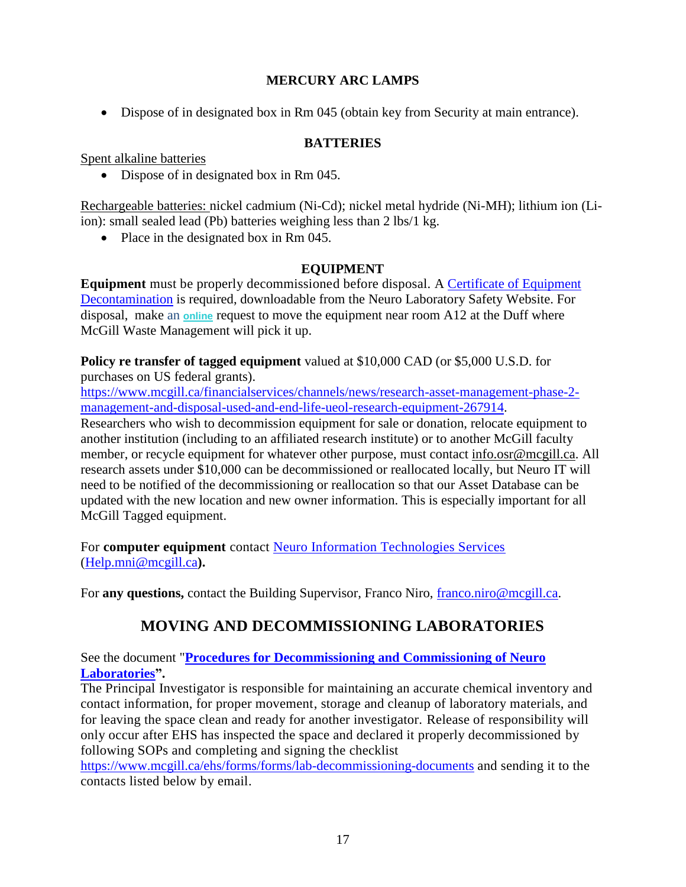## **MERCURY ARC LAMPS**

Dispose of in designated box in Rm 045 (obtain key from Security at main entrance).

### **BATTERIES**

Spent alkaline batteries

• Dispose of in designated box in Rm 045.

Rechargeable batteries: nickel cadmium (Ni-Cd); nickel metal hydride (Ni-MH); lithium ion (Liion): small sealed lead (Pb) batteries weighing less than 2 lbs/1 kg.

• Place in the designated box in Rm 045.

### **EQUIPMENT**

**Equipment** must be properly decommissioned before disposal. A [Certificate of Equipment](https://www.mcgill.ca/neuro/files/neuro/certificateofequipmentdecontamination-template.pdf)  [Decontamination](https://www.mcgill.ca/neuro/files/neuro/certificateofequipmentdecontamination-template.pdf) is required, downloadable from the Neuro Laboratory Safety Website. For disposal, make an **[online](https://app.smartsheet.com/b/form/ad51b1ded5c048c9b5b8ec5633fefe1a)** request to move the equipment near room A12 at the Duff where McGill Waste Management will pick it up.

**Policy re transfer of tagged equipment** valued at \$10,000 CAD (or \$5,000 U.S.D. for purchases on US federal grants).

[https://www.mcgill.ca/financialservices/channels/news/research-asset-management-phase-2](https://www.mcgill.ca/financialservices/channels/news/research-asset-management-phase-2-management-and-disposal-used-and-end-life-ueol-research-equipment-267914) [management-and-disposal-used-and-end-life-ueol-research-equipment-267914.](https://www.mcgill.ca/financialservices/channels/news/research-asset-management-phase-2-management-and-disposal-used-and-end-life-ueol-research-equipment-267914)

Researchers who wish to decommission equipment for sale or donation, relocate equipment to another institution (including to an affiliated research institute) or to another McGill faculty member, or recycle equipment for whatever other purpose, must contact [info.osr@mcgill.ca.](mailto:info.osr@mcgill.ca) All research assets under \$10,000 can be decommissioned or reallocated locally, but Neuro IT will need to be notified of the decommissioning or reallocation so that our Asset Database can be updated with the new location and new owner information. This is especially important for all McGill Tagged equipment.

For **computer equipment** contact [Neuro Information Technologies Services](http://neuroit.mcgill.ca/index.php?page=contact-use) [\(Help.mni@mcgill.ca](mailto:Help.mni@mcgill.ca)**).** 

For **any questions**, contact the Building Supervisor, Franco Niro, [franco.niro@mcgill.ca.](mailto:franco.niro@mcgill.ca)

# **MOVING AND DECOMMISSIONING LABORATORIES**

See the document "**[Procedures for Decommissioning and Commissioning of Neuro](https://www.mcgill.ca/neuro/files/neuro/procedures_for_commissioning_and_decommissioning_of_the_neuro_laboratories.pdf)  [Laboratories"](https://www.mcgill.ca/neuro/files/neuro/procedures_for_commissioning_and_decommissioning_of_the_neuro_laboratories.pdf).**

The Principal Investigator is responsible for maintaining an accurate chemical inventory and contact information, for proper movement, storage and cleanup of laboratory materials, and for leaving the space clean and ready for another investigator. Release of responsibility will only occur after EHS has inspected the space and declared it properly decommissioned by following SOPs and completing and signing the checklist

<https://www.mcgill.ca/ehs/forms/forms/lab-decommissioning-documents> and sending it to the contacts listed below by email.